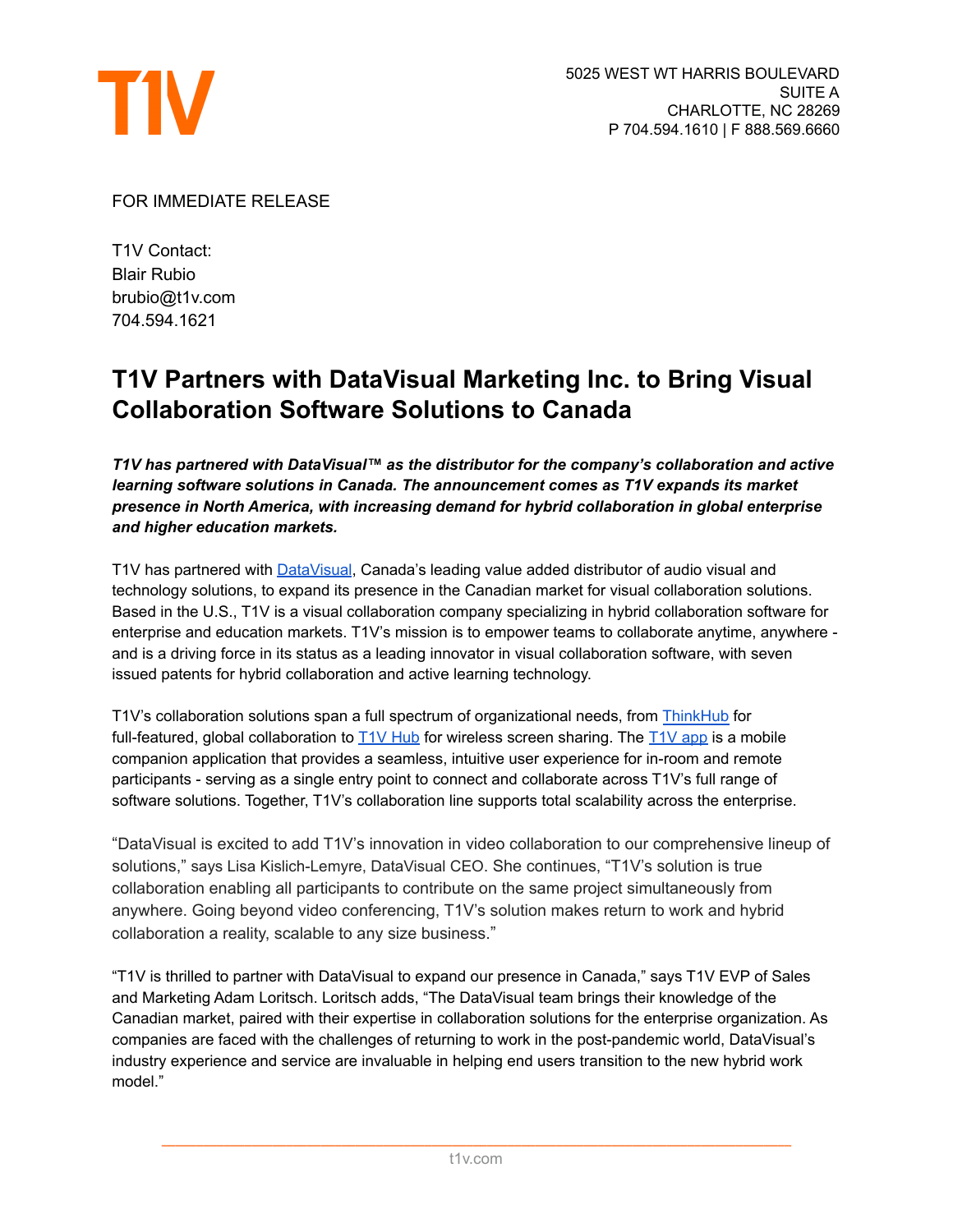

FOR IMMEDIATE RELEASE

T1V Contact: Blair Rubio brubio@t1v.com 704.594.1621

## **T1V Partners with DataVisual Marketing Inc. to Bring Visual Collaboration Software Solutions to Canada**

*T1V has partnered with DataVisual™ as the distributor for the company's collaboration and active learning software solutions in Canada. The announcement comes as T1V expands its market presence in North America, with increasing demand for hybrid collaboration in global enterprise and higher education markets.*

T1V has partnered with [DataVisual](https://datavisual.ca/), Canada's leading value added distributor of audio visual and technology solutions, to expand its presence in the Canadian market for visual collaboration solutions. Based in the U.S., T1V is a visual collaboration company specializing in hybrid collaboration software for enterprise and education markets. T1V's mission is to empower teams to collaborate anytime, anywhere and is a driving force in its status as a leading innovator in visual collaboration software, with seven issued patents for hybrid collaboration and active learning technology.

T1V's collaboration solutions span a full spectrum of organizational needs, from [ThinkHub](https://www.t1v.com/thinkhub) for full-featured, global collaboration to  $T_1V$  [Hub](https://www.t1v.com/hub) for wireless screen sharing. The  $T_1V$  app is a mobile companion application that provides a seamless, intuitive user experience for in-room and remote participants - serving as a single entry point to connect and collaborate across T1V's full range of software solutions. Together, T1V's collaboration line supports total scalability across the enterprise.

"DataVisual is excited to add T1V's innovation in video collaboration to our comprehensive lineup of solutions," says Lisa Kislich-Lemyre, DataVisual CEO. She continues, "T1V's solution is true collaboration enabling all participants to contribute on the same project simultaneously from anywhere. Going beyond video conferencing, T1V's solution makes return to work and hybrid collaboration a reality, scalable to any size business."

"T1V is thrilled to partner with DataVisual to expand our presence in Canada," says T1V EVP of Sales and Marketing Adam Loritsch. Loritsch adds, "The DataVisual team brings their knowledge of the Canadian market, paired with their expertise in collaboration solutions for the enterprise organization. As companies are faced with the challenges of returning to work in the post-pandemic world, DataVisual's industry experience and service are invaluable in helping end users transition to the new hybrid work model."